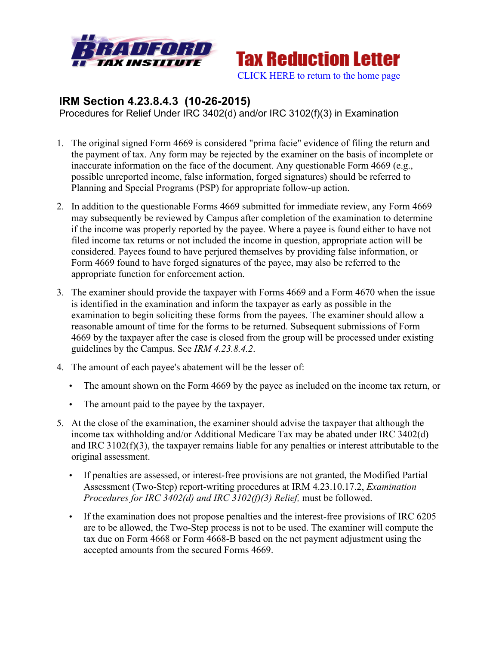



## **IRM Section 4.23.8.4.3 (10-26-2015)**

Procedures for Relief Under IRC 3402(d) and/or IRC 3102(f)(3) in Examination

- 1. The original signed Form 4669 is considered "prima facie" evidence of filing the return and the payment of tax. Any form may be rejected by the examiner on the basis of incomplete or inaccurate information on the face of the document. Any questionable Form 4669 (e.g., possible unreported income, false information, forged signatures) should be referred to Planning and Special Programs (PSP) for appropriate follow-up action.
- 2. In addition to the questionable Forms 4669 submitted for immediate review, any Form 4669 may subsequently be reviewed by Campus after completion of the examination to determine if the income was properly reported by the payee. Where a payee is found either to have not filed income tax returns or not included the income in question, appropriate action will be considered. Payees found to have perjured themselves by providing false information, or Form 4669 found to have forged signatures of the payee, may also be referred to the appropriate function for enforcement action.
- 3. The examiner should provide the taxpayer with Forms 4669 and a Form 4670 when the issue is identified in the examination and inform the taxpayer as early as possible in the examination to begin soliciting these forms from the payees. The examiner should allow a reasonable amount of time for the forms to be returned. Subsequent submissions of Form 4669 by the taxpayer after the case is closed from the group will be processed under existing guidelines by the Campus. See *IRM 4.23.8.4.2*.
- 4. The amount of each payee's abatement will be the lesser of:
	- The amount shown on the Form 4669 by the payee as included on the income tax return, or
	- The amount paid to the payee by the taxpayer.
- 5. At the close of the examination, the examiner should advise the taxpayer that although the income tax withholding and/or Additional Medicare Tax may be abated under IRC 3402(d) and IRC 3102(f)(3), the taxpayer remains liable for any penalties or interest attributable to the original assessment.
	- If penalties are assessed, or interest-free provisions are not granted, the Modified Partial Assessment (Two-Step) report-writing procedures at IRM 4.23.10.17.2, *Examination Procedures for IRC 3402(d) and IRC 3102(f)(3) Relief,* must be followed.
	- If the examination does not propose penalties and the interest-free provisions of IRC 6205 are to be allowed, the Two-Step process is not to be used. The examiner will compute the tax due on Form 4668 or Form 4668-B based on the net payment adjustment using the accepted amounts from the secured Forms 4669.